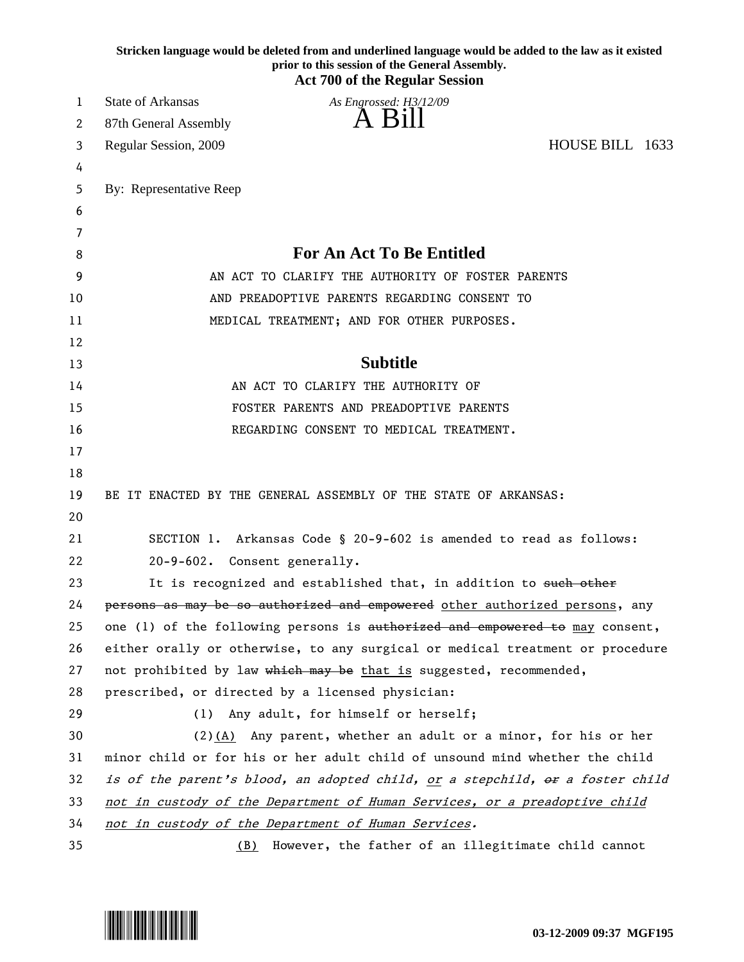|    | Stricken language would be deleted from and underlined language would be added to the law as it existed<br>prior to this session of the General Assembly.<br><b>Act 700 of the Regular Session</b> |
|----|----------------------------------------------------------------------------------------------------------------------------------------------------------------------------------------------------|
| 1  | <b>State of Arkansas</b><br>As Engrossed: H3/12/09                                                                                                                                                 |
| 2  | 87th General Assembly                                                                                                                                                                              |
| 3  | HOUSE BILL 1633<br>Regular Session, 2009                                                                                                                                                           |
| 4  |                                                                                                                                                                                                    |
| 5  | By: Representative Reep                                                                                                                                                                            |
| 6  |                                                                                                                                                                                                    |
| 7  |                                                                                                                                                                                                    |
| 8  | <b>For An Act To Be Entitled</b>                                                                                                                                                                   |
| 9  | AN ACT TO CLARIFY THE AUTHORITY OF FOSTER PARENTS                                                                                                                                                  |
| 10 | AND PREADOPTIVE PARENTS REGARDING CONSENT TO                                                                                                                                                       |
| 11 | MEDICAL TREATMENT; AND FOR OTHER PURPOSES.                                                                                                                                                         |
| 12 |                                                                                                                                                                                                    |
| 13 | <b>Subtitle</b>                                                                                                                                                                                    |
| 14 | AN ACT TO CLARIFY THE AUTHORITY OF                                                                                                                                                                 |
| 15 | FOSTER PARENTS AND PREADOPTIVE PARENTS                                                                                                                                                             |
| 16 | REGARDING CONSENT TO MEDICAL TREATMENT.                                                                                                                                                            |
| 17 |                                                                                                                                                                                                    |
| 18 |                                                                                                                                                                                                    |
| 19 | BE IT ENACTED BY THE GENERAL ASSEMBLY OF THE STATE OF ARKANSAS:                                                                                                                                    |
| 20 |                                                                                                                                                                                                    |
| 21 | SECTION 1. Arkansas Code § 20-9-602 is amended to read as follows:                                                                                                                                 |
| 22 | 20-9-602. Consent generally.                                                                                                                                                                       |
| 23 | It is recognized and established that, in addition to such other                                                                                                                                   |
| 24 | persons as may be so authorized and empowered other authorized persons, any                                                                                                                        |
| 25 | one (1) of the following persons is authorized and empowered to may consent,                                                                                                                       |
| 26 | either orally or otherwise, to any surgical or medical treatment or procedure                                                                                                                      |
| 27 | not prohibited by law which may be that is suggested, recommended,                                                                                                                                 |
| 28 | prescribed, or directed by a licensed physician:                                                                                                                                                   |
| 29 | (1) Any adult, for himself or herself;                                                                                                                                                             |
| 30 | (2)(A) Any parent, whether an adult or a minor, for his or her                                                                                                                                     |
| 31 | minor child or for his or her adult child of unsound mind whether the child                                                                                                                        |
| 32 | is of the parent's blood, an adopted child, <u>or</u> a stepchild, or a foster child                                                                                                               |
| 33 | not in custody of the Department of Human Services, or a preadoptive child                                                                                                                         |
| 34 | not in custody of the Department of Human Services.                                                                                                                                                |
| 35 | (B) However, the father of an illegitimate child cannot                                                                                                                                            |

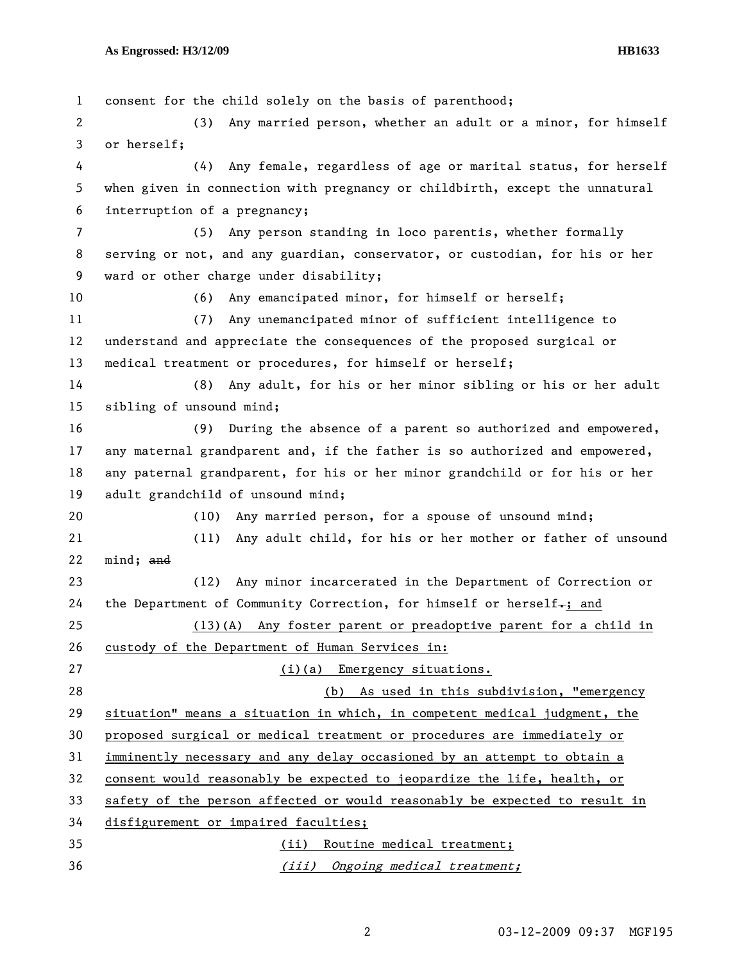1 consent for the child solely on the basis of parenthood; 2 (3) Any married person, whether an adult or a minor, for himself 3 or herself; 4 (4) Any female, regardless of age or marital status, for herself 5 when given in connection with pregnancy or childbirth, except the unnatural 6 interruption of a pregnancy; 7 (5) Any person standing in loco parentis, whether formally 8 serving or not, and any guardian, conservator, or custodian, for his or her 9 ward or other charge under disability; 10 (6) Any emancipated minor, for himself or herself; 11 (7) Any unemancipated minor of sufficient intelligence to 12 understand and appreciate the consequences of the proposed surgical or 13 medical treatment or procedures, for himself or herself; 14 (8) Any adult, for his or her minor sibling or his or her adult 15 sibling of unsound mind; 16 (9) During the absence of a parent so authorized and empowered, 17 any maternal grandparent and, if the father is so authorized and empowered, 18 any paternal grandparent, for his or her minor grandchild or for his or her 19 adult grandchild of unsound mind; 20 (10) Any married person, for a spouse of unsound mind; 21 (11) Any adult child, for his or her mother or father of unsound 22 mind; and 23 (12) Any minor incarcerated in the Department of Correction or 24 the Department of Community Correction, for himself or herself $-$ ; and 25 (13)(A) Any foster parent or preadoptive parent for a child in 26 custody of the Department of Human Services in: 27 (i)(a) Emergency situations. 28 (b) As used in this subdivision, "emergency 29 situation" means a situation in which, in competent medical judgment, the 30 proposed surgical or medical treatment or procedures are immediately or 31 imminently necessary and any delay occasioned by an attempt to obtain a 32 consent would reasonably be expected to jeopardize the life, health, or 33 safety of the person affected or would reasonably be expected to result in 34 disfigurement or impaired faculties; 35 (ii) Routine medical treatment; 36 (iii) Ongoing medical treatment;